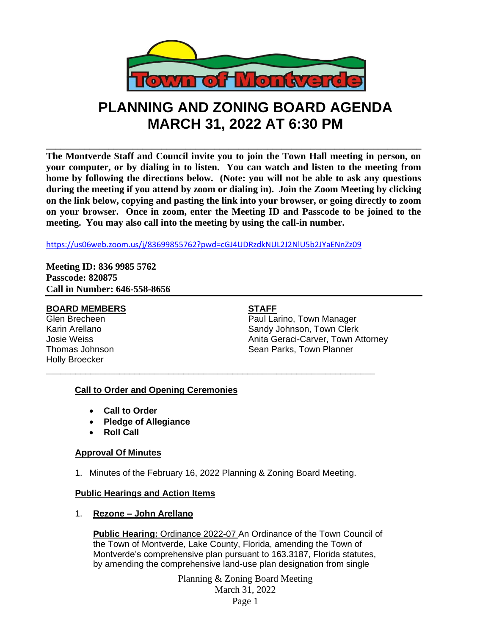

# **PLANNING AND ZONING BOARD AGENDA MARCH 31, 2022 AT 6:30 PM**

**\_\_\_\_\_\_\_\_\_\_\_\_\_\_\_\_\_\_\_\_\_\_\_\_\_\_\_\_\_\_\_\_\_\_\_\_\_\_\_\_\_\_\_\_\_\_\_\_\_\_\_\_\_\_\_\_\_\_\_\_\_\_\_\_\_\_\_\_\_\_\_\_\_\_\_\_\_\_ The Montverde Staff and Council invite you to join the Town Hall meeting in person, on your computer, or by dialing in to listen. You can watch and listen to the meeting from home by following the directions below. (Note: you will not be able to ask any questions during the meeting if you attend by zoom or dialing in). Join the Zoom Meeting by clicking on the link below, copying and pasting the link into your browser, or going directly to zoom on your browser. Once in zoom, enter the Meeting ID and Passcode to be joined to the meeting. You may also call into the meeting by using the call-in number.** 

<https://us06web.zoom.us/j/83699855762?pwd=cGJ4UDRzdkNUL2J2NlU5b2JYaENnZz09>

**Meeting ID: 836 9985 5762 Passcode: 820875 Call in Number: 646-558-8656**

# **BOARD MEMBERS STAFF**

Holly Broecker

Glen Brecheen Paul Larino, Town Manager Karin Arellano **Sandy Johnson, Town Clerk** Josie Weiss Anita Geraci-Carver, Town Attorney Thomas Johnson **Sean Parks, Town Planner** Sean Parks, Town Planner

# **Call to Order and Opening Ceremonies**

- **Call to Order**
- **Pledge of Allegiance**
- **Roll Call**

### **Approval Of Minutes**

1. Minutes of the February 16, 2022 Planning & Zoning Board Meeting.

\_\_\_\_\_\_\_\_\_\_\_\_\_\_\_\_\_\_\_\_\_\_\_\_\_\_\_\_\_\_\_\_\_\_\_\_\_\_\_\_\_\_\_\_\_\_\_\_\_\_\_\_\_\_\_\_\_\_\_\_\_\_\_\_\_\_\_

### **Public Hearings and Action Items**

1. **Rezone – John Arellano**

**Public Hearing:** Ordinance 2022-07 An Ordinance of the Town Council of the Town of Montverde, Lake County, Florida, amending the Town of Montverde's comprehensive plan pursuant to 163.3187, Florida statutes, by amending the comprehensive land-use plan designation from single

> Planning & Zoning Board Meeting March 31, 2022 Page 1